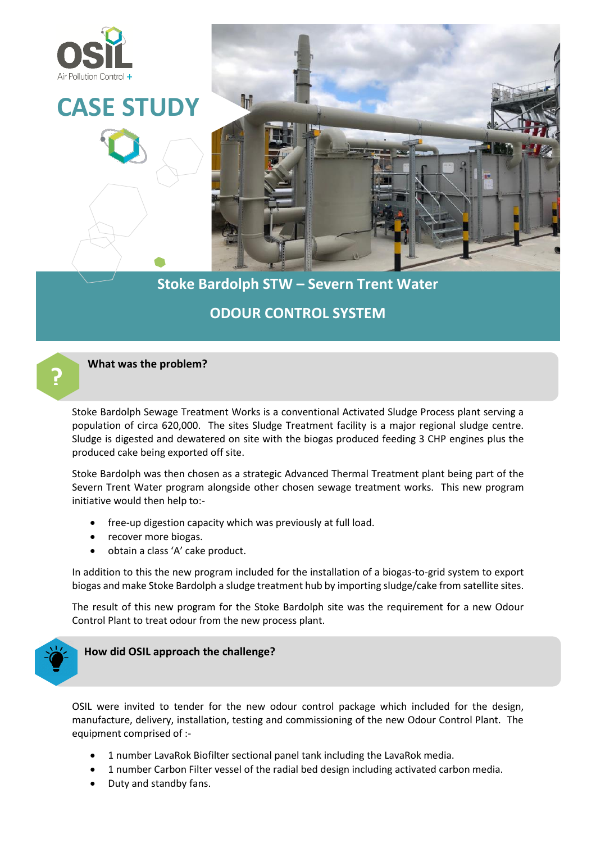

# **Stoke Bardolph STW – Severn Trent Water ODOUR CONTROL SYSTEM**

#### **What was the problem?**

Stoke Bardolph Sewage Treatment Works is a conventional Activated Sludge Process plant serving a population of circa 620,000. The sites Sludge Treatment facility is a major regional sludge centre. Sludge is digested and dewatered on site with the biogas produced feeding 3 CHP engines plus the produced cake being exported off site.

Stoke Bardolph was then chosen as a strategic Advanced Thermal Treatment plant being part of the Severn Trent Water program alongside other chosen sewage treatment works. This new program initiative would then help to:-

- free-up digestion capacity which was previously at full load.
- recover more biogas.
- obtain a class 'A' cake product.

In addition to this the new program included for the installation of a biogas-to-grid system to export biogas and make Stoke Bardolph a sludge treatment hub by importing sludge/cake from satellite sites.

The result of this new program for the Stoke Bardolph site was the requirement for a new Odour Control Plant to treat odour from the new process plant.



**?**

**How did OSIL approach the challenge?**

OSIL were invited to tender for the new odour control package which included for the design, manufacture, delivery, installation, testing and commissioning of the new Odour Control Plant. The equipment comprised of :-

- 1 number LavaRok Biofilter sectional panel tank including the LavaRok media.
- 1 number Carbon Filter vessel of the radial bed design including activated carbon media.
- Duty and standby fans.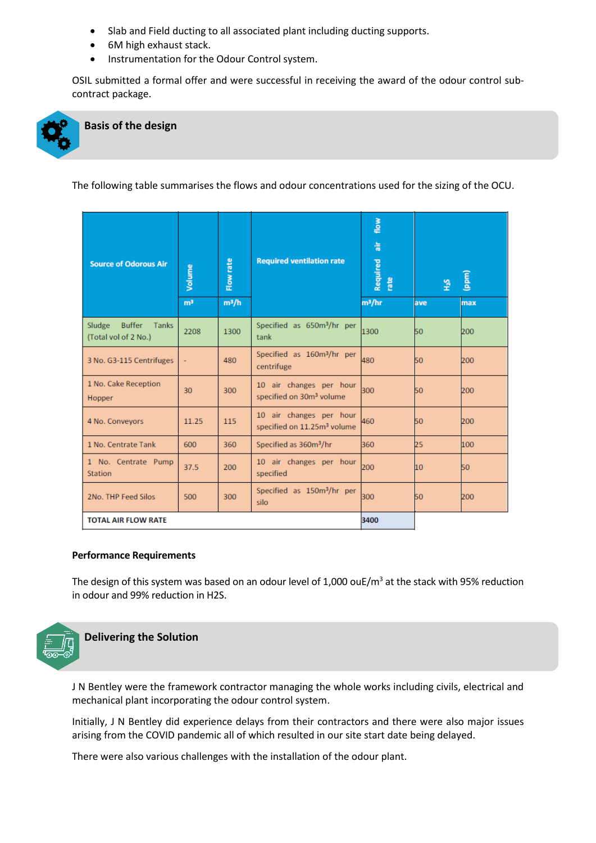- Slab and Field ducting to all associated plant including ducting supports.
- 6M high exhaust stack.
- Instrumentation for the Odour Control system.

OSIL submitted a formal offer and were successful in receiving the award of the odour control subcontract package.



## **Basis of the design**

The following table summarises the flows and odour concentrations used for the sizing of the OCU.

| <b>Source of Odorous Air</b>                             | Volume         | Flow rate | <b>Required ventilation rate</b>                                   | flow<br>高<br>Required<br>rate | $\frac{5}{4}$ | (ppm) |
|----------------------------------------------------------|----------------|-----------|--------------------------------------------------------------------|-------------------------------|---------------|-------|
|                                                          | m <sup>3</sup> | $m^3/h$   |                                                                    | m <sup>3</sup> /hr            | lave          | max   |
| Sludge<br><b>Buffer</b><br>Tanks<br>(Total vol of 2 No.) | 2208           | 1300      | Specified as 650m <sup>3</sup> /hr per<br>tank                     | 1300                          | 50            | 200   |
| 3 No. G3-115 Centrifuges                                 | ÷              | 480       | Specified as 160m <sup>3</sup> /hr per<br>centrifuge               | 480                           | 50            | 200   |
| 1 No. Cake Reception<br><b>Hopper</b>                    | 30             | 300       | 10 air changes per hour<br>specified on 30m <sup>3</sup> volume    | 300                           | 50            | 200   |
| 4 No. Conveyors                                          | 11.25          | 115       | 10 air changes per hour<br>specified on 11.25m <sup>3</sup> volume | 460                           | 50            | 200   |
| 1 No. Centrate Tank                                      | 600            | 360       | Specified as 360m <sup>3</sup> /hr                                 | 360                           | 25            | 100   |
| 1 No. Centrate Pump<br><b>Station</b>                    | 37.5           | 200       | 10 air changes per hour<br>specified                               | 200                           | 10            | 50    |
| 2No. THP Feed Silos                                      | 500            | 300       | Specified as 150m <sup>3</sup> /hr per<br>silo                     | 300                           | 50            | 200   |
| <b>TOTAL AIR FLOW RATE</b>                               |                |           |                                                                    | 3400                          |               |       |

#### **Performance Requirements**

The design of this system was based on an odour level of 1,000 ouE/ $m<sup>3</sup>$  at the stack with 95% reduction in odour and 99% reduction in H2S.



**Delivering the Solution**

J N Bentley were the framework contractor managing the whole works including civils, electrical and mechanical plant incorporating the odour control system.

Initially, J N Bentley did experience delays from their contractors and there were also major issues arising from the COVID pandemic all of which resulted in our site start date being delayed.

There were also various challenges with the installation of the odour plant.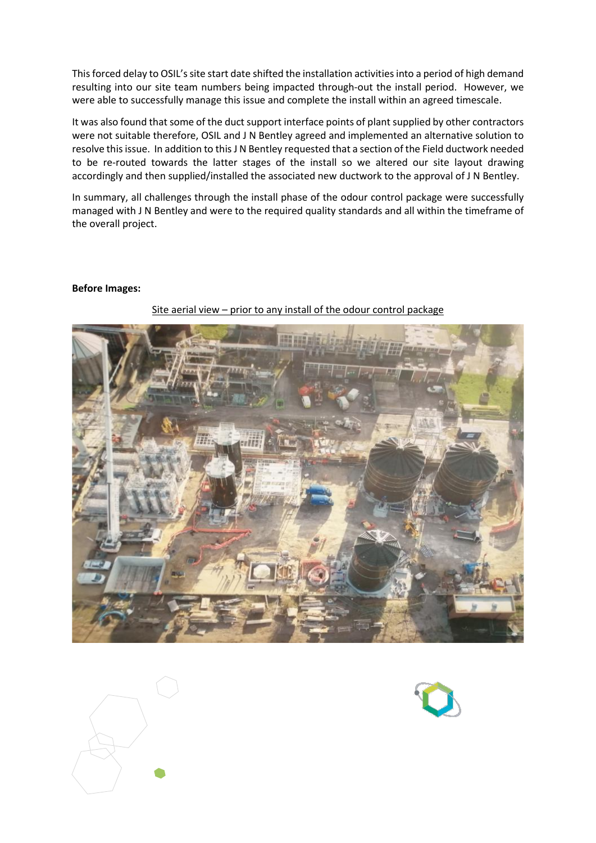This forced delay to OSIL's site start date shifted the installation activities into a period of high demand resulting into our site team numbers being impacted through-out the install period. However, we were able to successfully manage this issue and complete the install within an agreed timescale.

It was also found that some of the duct support interface points of plant supplied by other contractors were not suitable therefore, OSIL and J N Bentley agreed and implemented an alternative solution to resolve this issue. In addition to this J N Bentley requested that a section of the Field ductwork needed to be re-routed towards the latter stages of the install so we altered our site layout drawing accordingly and then supplied/installed the associated new ductwork to the approval of J N Bentley.

In summary, all challenges through the install phase of the odour control package were successfully managed with J N Bentley and were to the required quality standards and all within the timeframe of the overall project.

#### **Before Images:**



Site aerial view – prior to any install of the odour control package



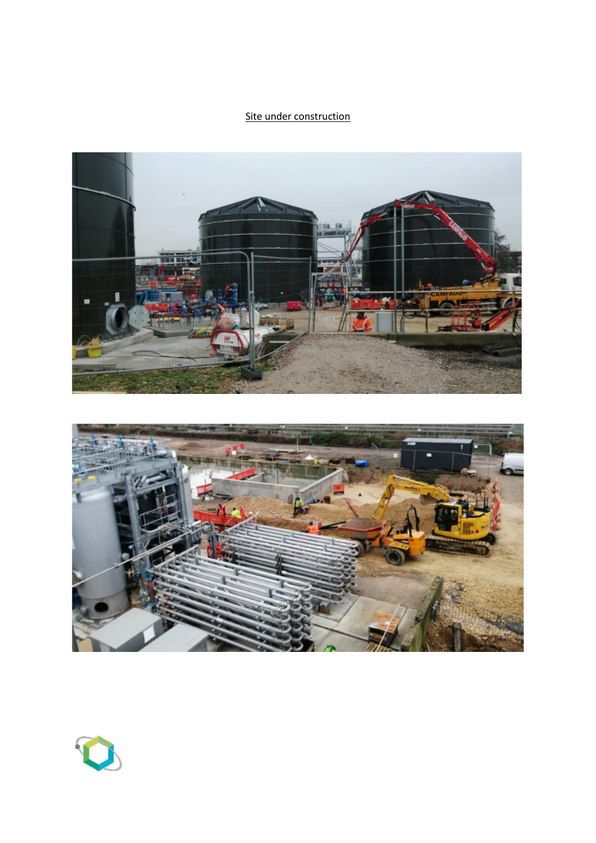## Site under construction





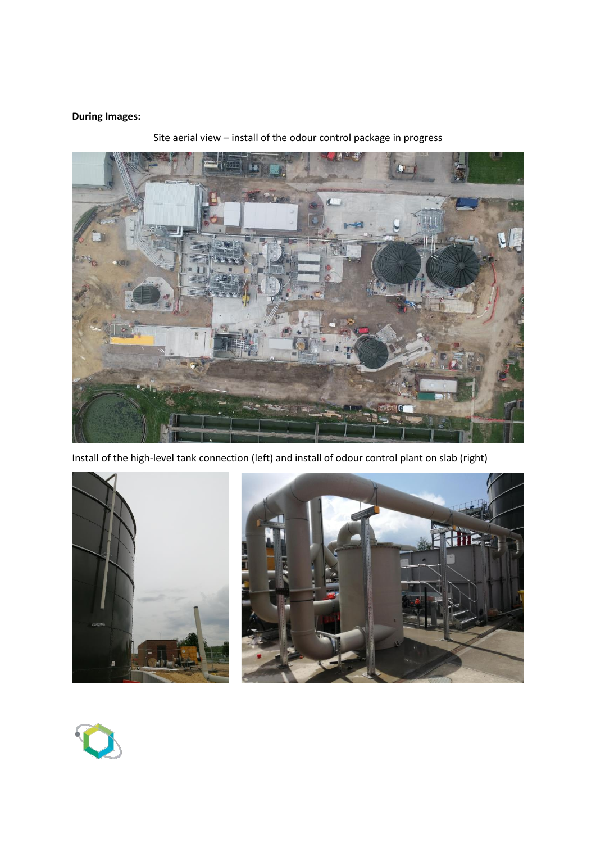## **During Images:**



Site aerial view – install of the odour control package in progress

Install of the high-level tank connection (left) and install of odour control plant on slab (right)



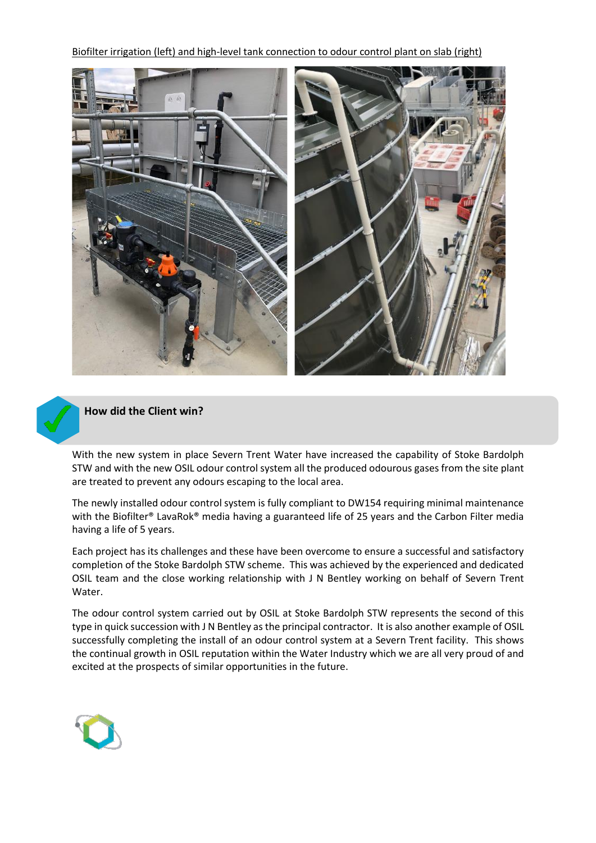Biofilter irrigation (left) and high-level tank connection to odour control plant on slab (right)





### **How did the Client win?**

With the new system in place Severn Trent Water have increased the capability of Stoke Bardolph STW and with the new OSIL odour control system all the produced odourous gases from the site plant are treated to prevent any odours escaping to the local area.

The newly installed odour control system is fully compliant to DW154 requiring minimal maintenance with the Biofilter® LavaRok® media having a guaranteed life of 25 years and the Carbon Filter media having a life of 5 years.

Each project has its challenges and these have been overcome to ensure a successful and satisfactory completion of the Stoke Bardolph STW scheme. This was achieved by the experienced and dedicated OSIL team and the close working relationship with J N Bentley working on behalf of Severn Trent Water.

The odour control system carried out by OSIL at Stoke Bardolph STW represents the second of this type in quick succession with J N Bentley as the principal contractor. It is also another example of OSIL successfully completing the install of an odour control system at a Severn Trent facility. This shows the continual growth in OSIL reputation within the Water Industry which we are all very proud of and excited at the prospects of similar opportunities in the future.